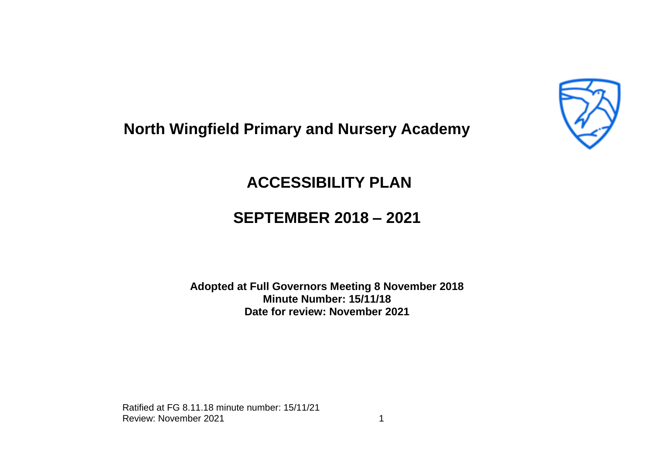

## **North Wingfield Primary and Nursery Academy**

## **ACCESSIBILITY PLAN**

## **SEPTEMBER 2018 – 2021**

**Adopted at Full Governors Meeting 8 November 2018 Minute Number: 15/11/18 Date for review: November 2021**

Ratified at FG 8.11.18 minute number: 15/11/21 Review: November 2021 1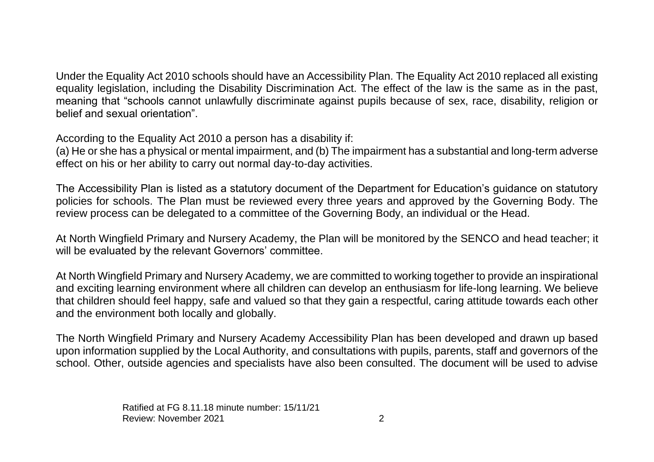Under the Equality Act 2010 schools should have an Accessibility Plan. The Equality Act 2010 replaced all existing equality legislation, including the Disability Discrimination Act. The effect of the law is the same as in the past, meaning that "schools cannot unlawfully discriminate against pupils because of sex, race, disability, religion or belief and sexual orientation".

According to the Equality Act 2010 a person has a disability if:

(a) He or she has a physical or mental impairment, and (b) The impairment has a substantial and long-term adverse effect on his or her ability to carry out normal day-to-day activities.

The Accessibility Plan is listed as a statutory document of the Department for Education's guidance on statutory policies for schools. The Plan must be reviewed every three years and approved by the Governing Body. The review process can be delegated to a committee of the Governing Body, an individual or the Head.

At North Wingfield Primary and Nursery Academy, the Plan will be monitored by the SENCO and head teacher; it will be evaluated by the relevant Governors' committee.

At North Wingfield Primary and Nursery Academy, we are committed to working together to provide an inspirational and exciting learning environment where all children can develop an enthusiasm for life-long learning. We believe that children should feel happy, safe and valued so that they gain a respectful, caring attitude towards each other and the environment both locally and globally.

The North Wingfield Primary and Nursery Academy Accessibility Plan has been developed and drawn up based upon information supplied by the Local Authority, and consultations with pupils, parents, staff and governors of the school. Other, outside agencies and specialists have also been consulted. The document will be used to advise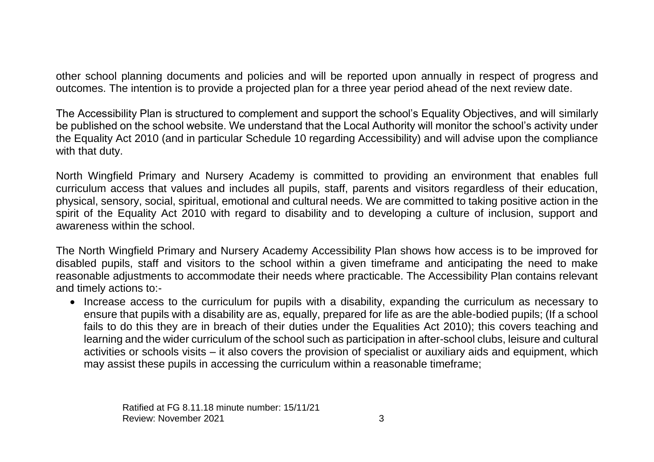other school planning documents and policies and will be reported upon annually in respect of progress and outcomes. The intention is to provide a projected plan for a three year period ahead of the next review date.

The Accessibility Plan is structured to complement and support the school's Equality Objectives, and will similarly be published on the school website. We understand that the Local Authority will monitor the school's activity under the Equality Act 2010 (and in particular Schedule 10 regarding Accessibility) and will advise upon the compliance with that duty.

North Wingfield Primary and Nursery Academy is committed to providing an environment that enables full curriculum access that values and includes all pupils, staff, parents and visitors regardless of their education, physical, sensory, social, spiritual, emotional and cultural needs. We are committed to taking positive action in the spirit of the Equality Act 2010 with regard to disability and to developing a culture of inclusion, support and awareness within the school.

The North Wingfield Primary and Nursery Academy Accessibility Plan shows how access is to be improved for disabled pupils, staff and visitors to the school within a given timeframe and anticipating the need to make reasonable adjustments to accommodate their needs where practicable. The Accessibility Plan contains relevant and timely actions to:-

• Increase access to the curriculum for pupils with a disability, expanding the curriculum as necessary to ensure that pupils with a disability are as, equally, prepared for life as are the able-bodied pupils; (If a school fails to do this they are in breach of their duties under the Equalities Act 2010); this covers teaching and learning and the wider curriculum of the school such as participation in after-school clubs, leisure and cultural activities or schools visits – it also covers the provision of specialist or auxiliary aids and equipment, which may assist these pupils in accessing the curriculum within a reasonable timeframe;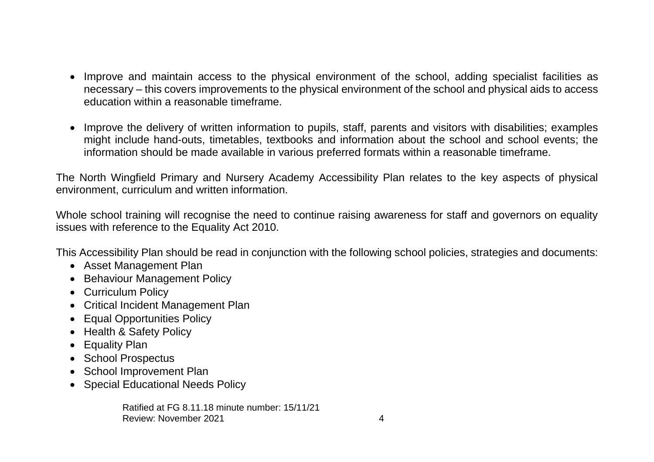- Improve and maintain access to the physical environment of the school, adding specialist facilities as necessary – this covers improvements to the physical environment of the school and physical aids to access education within a reasonable timeframe.
- Improve the delivery of written information to pupils, staff, parents and visitors with disabilities; examples might include hand-outs, timetables, textbooks and information about the school and school events; the information should be made available in various preferred formats within a reasonable timeframe.

The North Wingfield Primary and Nursery Academy Accessibility Plan relates to the key aspects of physical environment, curriculum and written information.

Whole school training will recognise the need to continue raising awareness for staff and governors on equality issues with reference to the Equality Act 2010.

This Accessibility Plan should be read in conjunction with the following school policies, strategies and documents:

- Asset Management Plan
- Behaviour Management Policy
- Curriculum Policy
- Critical Incident Management Plan
- Equal Opportunities Policy
- Health & Safety Policy
- Equality Plan
- School Prospectus
- School Improvement Plan
- Special Educational Needs Policy

Ratified at FG 8.11.18 minute number: 15/11/21 Review: November 2021 **4** and the set of the set of the set of the set of the set of the set of the set of the set of the set of the set of the set of the set of the set of the set of the set of the set of the set of the s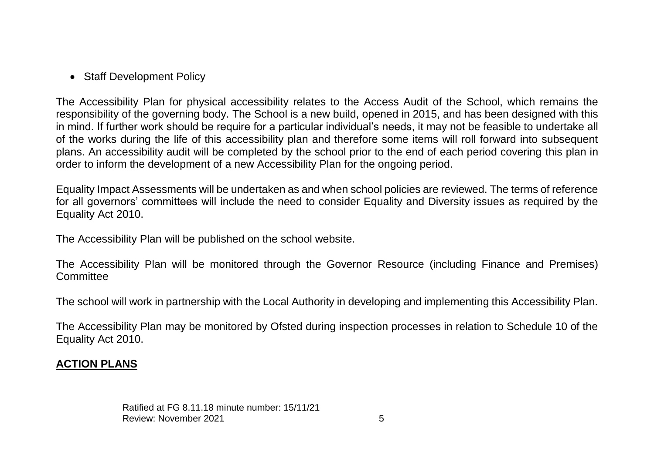• Staff Development Policy

The Accessibility Plan for physical accessibility relates to the Access Audit of the School, which remains the responsibility of the governing body. The School is a new build, opened in 2015, and has been designed with this in mind. If further work should be require for a particular individual's needs, it may not be feasible to undertake all of the works during the life of this accessibility plan and therefore some items will roll forward into subsequent plans. An accessibility audit will be completed by the school prior to the end of each period covering this plan in order to inform the development of a new Accessibility Plan for the ongoing period.

Equality Impact Assessments will be undertaken as and when school policies are reviewed. The terms of reference for all governors' committees will include the need to consider Equality and Diversity issues as required by the Equality Act 2010.

The Accessibility Plan will be published on the school website.

The Accessibility Plan will be monitored through the Governor Resource (including Finance and Premises) **Committee** 

The school will work in partnership with the Local Authority in developing and implementing this Accessibility Plan.

The Accessibility Plan may be monitored by Ofsted during inspection processes in relation to Schedule 10 of the Equality Act 2010.

## **ACTION PLANS**

Ratified at FG 8.11.18 minute number: 15/11/21 Review: November 2021 **5**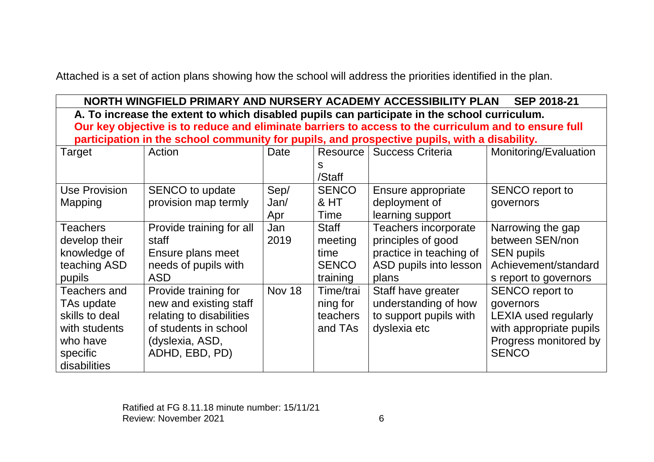Attached is a set of action plans showing how the school will address the priorities identified in the plan.

| NORTH WINGFIELD PRIMARY AND NURSERY ACADEMY ACCESSIBILITY PLAN<br><b>SEP 2018-21</b>                 |                                                                                              |               |              |                         |                             |  |
|------------------------------------------------------------------------------------------------------|----------------------------------------------------------------------------------------------|---------------|--------------|-------------------------|-----------------------------|--|
| A. To increase the extent to which disabled pupils can participate in the school curriculum.         |                                                                                              |               |              |                         |                             |  |
| Our key objective is to reduce and eliminate barriers to access to the curriculum and to ensure full |                                                                                              |               |              |                         |                             |  |
|                                                                                                      | participation in the school community for pupils, and prospective pupils, with a disability. |               |              |                         |                             |  |
| Target                                                                                               | Action                                                                                       | Date          | Resource     | <b>Success Criteria</b> | Monitoring/Evaluation       |  |
|                                                                                                      |                                                                                              |               | s            |                         |                             |  |
|                                                                                                      |                                                                                              |               | /Staff       |                         |                             |  |
| <b>Use Provision</b>                                                                                 | SENCO to update                                                                              | Sep/          | <b>SENCO</b> | Ensure appropriate      | <b>SENCO</b> report to      |  |
| Mapping                                                                                              | provision map termly                                                                         | Jan/          | & HT         | deployment of           | governors                   |  |
|                                                                                                      |                                                                                              | Apr           | Time         | learning support        |                             |  |
| Teachers                                                                                             | Provide training for all                                                                     | Jan           | <b>Staff</b> | Teachers incorporate    | Narrowing the gap           |  |
| develop their                                                                                        | staff                                                                                        | 2019          | meeting      | principles of good      | between SEN/non             |  |
| knowledge of                                                                                         | Ensure plans meet                                                                            |               | time         | practice in teaching of | <b>SEN pupils</b>           |  |
| teaching ASD                                                                                         | needs of pupils with                                                                         |               | <b>SENCO</b> | ASD pupils into lesson  | Achievement/standard        |  |
| pupils                                                                                               | <b>ASD</b>                                                                                   |               | training     | plans                   | s report to governors       |  |
| <b>Teachers and</b>                                                                                  | Provide training for                                                                         | <b>Nov 18</b> | Time/trai    | Staff have greater      | <b>SENCO</b> report to      |  |
| TAs update                                                                                           | new and existing staff                                                                       |               | ning for     | understanding of how    | governors                   |  |
| skills to deal                                                                                       | relating to disabilities                                                                     |               | teachers     | to support pupils with  | <b>LEXIA used regularly</b> |  |
| with students                                                                                        | of students in school                                                                        |               | and TAs      | dyslexia etc            | with appropriate pupils     |  |
| who have                                                                                             | (dyslexia, ASD,                                                                              |               |              |                         | Progress monitored by       |  |
| specific                                                                                             | ADHD, EBD, PD)                                                                               |               |              |                         | <b>SENCO</b>                |  |
| disabilities                                                                                         |                                                                                              |               |              |                         |                             |  |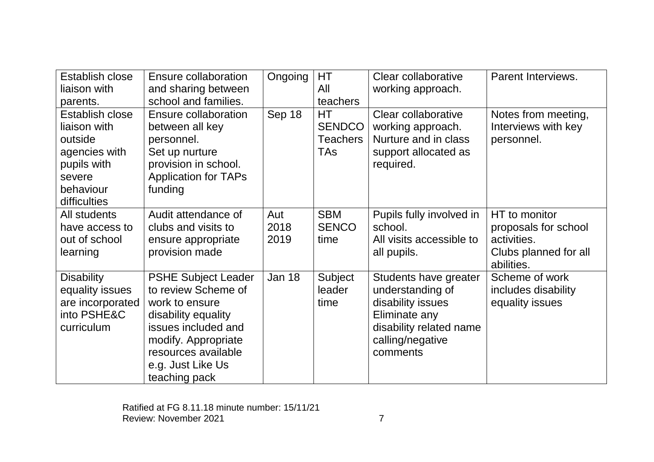| Establish close                                                                                                   | Ensure collaboration                                                                                                                                                                                  | Ongoing             | HТ                                                          | Clear collaborative                                                                                                                        | Parent Interviews.                                                                          |
|-------------------------------------------------------------------------------------------------------------------|-------------------------------------------------------------------------------------------------------------------------------------------------------------------------------------------------------|---------------------|-------------------------------------------------------------|--------------------------------------------------------------------------------------------------------------------------------------------|---------------------------------------------------------------------------------------------|
| liaison with                                                                                                      | and sharing between                                                                                                                                                                                   |                     | All                                                         | working approach.                                                                                                                          |                                                                                             |
| parents.                                                                                                          | school and families.                                                                                                                                                                                  |                     | teachers                                                    |                                                                                                                                            |                                                                                             |
| Establish close<br>liaison with<br>outside<br>agencies with<br>pupils with<br>severe<br>behaviour<br>difficulties | Ensure collaboration<br>between all key<br>personnel.<br>Set up nurture<br>provision in school.<br><b>Application for TAPs</b><br>funding                                                             | Sep 18              | <b>HT</b><br><b>SENDCO</b><br><b>Teachers</b><br><b>TAs</b> | Clear collaborative<br>working approach.<br>Nurture and in class<br>support allocated as<br>required.                                      | Notes from meeting,<br>Interviews with key<br>personnel.                                    |
| All students<br>have access to<br>out of school<br>learning                                                       | Audit attendance of<br>clubs and visits to<br>ensure appropriate<br>provision made                                                                                                                    | Aut<br>2018<br>2019 | <b>SBM</b><br><b>SENCO</b><br>time                          | Pupils fully involved in<br>school.<br>All visits accessible to<br>all pupils.                                                             | HT to monitor<br>proposals for school<br>activities.<br>Clubs planned for all<br>abilities. |
| <b>Disability</b><br>equality issues<br>are incorporated<br>into PSHE&C<br>curriculum                             | <b>PSHE Subject Leader</b><br>to review Scheme of<br>work to ensure<br>disability equality<br>issues included and<br>modify. Appropriate<br>resources available<br>e.g. Just Like Us<br>teaching pack | Jan 18              | Subject<br>leader<br>time                                   | Students have greater<br>understanding of<br>disability issues<br>Eliminate any<br>disability related name<br>calling/negative<br>comments | Scheme of work<br>includes disability<br>equality issues                                    |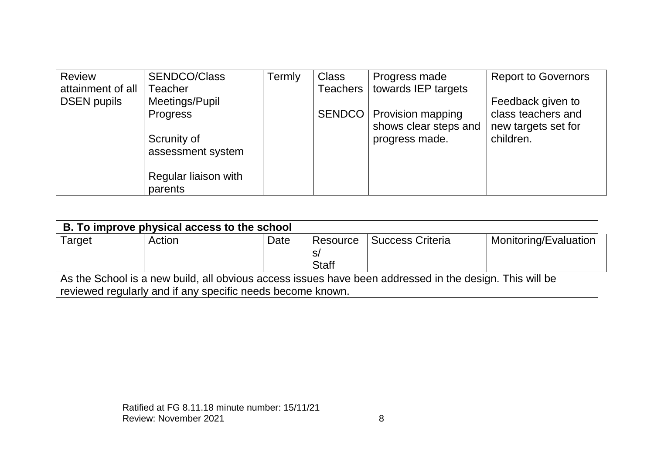| <b>Review</b>      | <b>SENDCO/Class</b>  | Termly | <b>Class</b>    | Progress made            | <b>Report to Governors</b> |
|--------------------|----------------------|--------|-----------------|--------------------------|----------------------------|
| attainment of all  | Teacher              |        | <b>Teachers</b> | towards IEP targets      |                            |
| <b>DSEN pupils</b> | Meetings/Pupil       |        |                 |                          | Feedback given to          |
|                    | <b>Progress</b>      |        | <b>SENDCO</b>   | <b>Provision mapping</b> | class teachers and         |
|                    |                      |        |                 | shows clear steps and    | new targets set for        |
|                    | Scrunity of          |        |                 | progress made.           | children.                  |
|                    | assessment system    |        |                 |                          |                            |
|                    |                      |        |                 |                          |                            |
|                    | Regular liaison with |        |                 |                          |                            |
|                    | parents              |        |                 |                          |                            |

| B. To improve physical access to the school                                                             |        |      |                                |                         |                       |  |
|---------------------------------------------------------------------------------------------------------|--------|------|--------------------------------|-------------------------|-----------------------|--|
| Target                                                                                                  | Action | Date | Resource<br>S/<br><b>Staff</b> | <b>Success Criteria</b> | Monitoring/Evaluation |  |
| As the School is a new build, all obvious access issues have been addressed in the design. This will be |        |      |                                |                         |                       |  |
| reviewed regularly and if any specific needs become known.                                              |        |      |                                |                         |                       |  |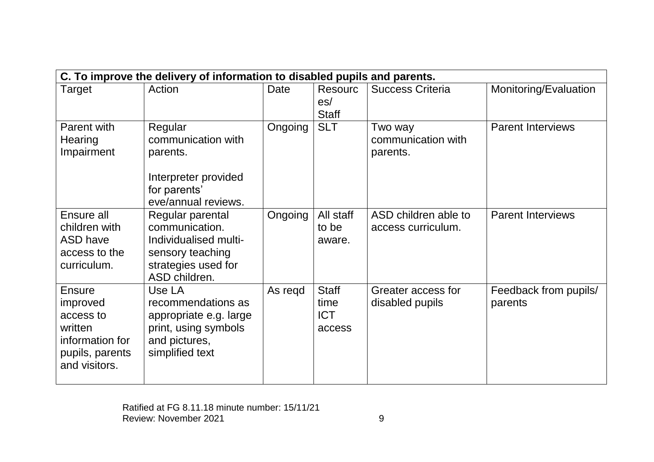| C. To improve the delivery of information to disabled pupils and parents.                                |                                                                                                                         |             |                                              |                                            |                                  |  |
|----------------------------------------------------------------------------------------------------------|-------------------------------------------------------------------------------------------------------------------------|-------------|----------------------------------------------|--------------------------------------------|----------------------------------|--|
| Target                                                                                                   | Action                                                                                                                  | <b>Date</b> | <b>Resourc</b><br>es/<br><b>Staff</b>        | <b>Success Criteria</b>                    | Monitoring/Evaluation            |  |
| Parent with<br>Hearing<br>Impairment                                                                     | Regular<br>communication with<br>parents.<br>Interpreter provided<br>for parents'<br>eve/annual reviews.                | Ongoing     | <b>SLT</b>                                   | Two way<br>communication with<br>parents.  | <b>Parent Interviews</b>         |  |
| Ensure all<br>children with<br><b>ASD have</b><br>access to the<br>curriculum.                           | Regular parental<br>communication.<br>Individualised multi-<br>sensory teaching<br>strategies used for<br>ASD children. | Ongoing     | All staff<br>to be<br>aware.                 | ASD children able to<br>access curriculum. | <b>Parent Interviews</b>         |  |
| <b>Ensure</b><br>improved<br>access to<br>written<br>information for<br>pupils, parents<br>and visitors. | Use LA<br>recommendations as<br>appropriate e.g. large<br>print, using symbols<br>and pictures,<br>simplified text      | As regd     | <b>Staff</b><br>time<br><b>ICT</b><br>access | Greater access for<br>disabled pupils      | Feedback from pupils/<br>parents |  |